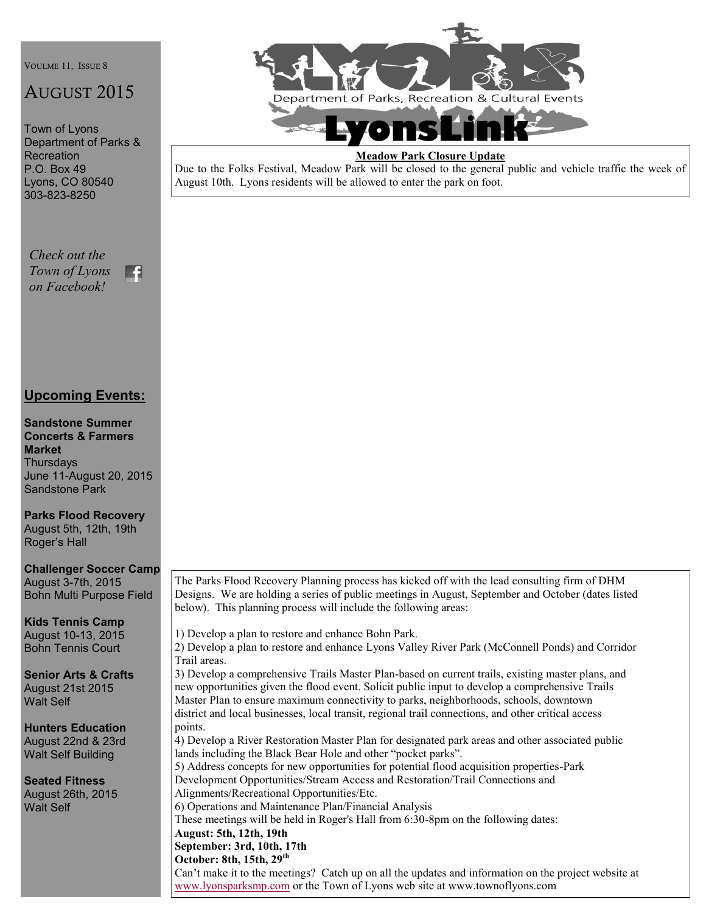VOULME 11, ISSUE 8

# AUGUST 2015

Town of Lyons Department of Parks & Recreation P.O. Box 49 Lyons, CO 80540 303-823-8250

*Check out the Town of Lyons*   $\mathbf{H}$ *on Facebook!*

#### **Upcoming Events:**

**Sandstone Summer Concerts & Farmers Market Thursdays** June 11-August 20, 2015 Sandstone Park

**Parks Flood Recovery** August 5th, 12th, 19th Roger's Hall

**Challenger Soccer Camp** August 3-7th, 2015 Bohn Multi Purpose Field

**Kids Tennis Camp** August 10-13, 2015 Bohn Tennis Court

**Senior Arts & Crafts** August 21st 2015 Walt Self

**Hunters Education** August 22nd & 23rd Walt Self Building

**Seated Fitness**  August 26th, 2015 Walt Self



#### **Meadow Park Closure Update**

Due to the Folks Festival, Meadow Park will be closed to the general public and vehicle traffic the week of August 10th. Lyons residents will be allowed to enter the park on foot.

The Parks Flood Recovery Planning process has kicked off with the lead consulting firm of DHM Designs. We are holding a series of public meetings in August, September and October (dates listed below). This planning process will include the following areas:

1) Develop a plan to restore and enhance Bohn Park.

2) Develop a plan to restore and enhance Lyons Valley River Park (McConnell Ponds) and Corridor Trail areas.

3) Develop a comprehensive Trails Master Plan-based on current trails, existing master plans, and new opportunities given the flood event. Solicit public input to develop a comprehensive Trails Master Plan to ensure maximum connectivity to parks, neighborhoods, schools, downtown district and local businesses, local transit, regional trail connections, and other critical access points.

4) Develop a River Restoration Master Plan for designated park areas and other associated public lands including the Black Bear Hole and other "pocket parks". 5) Address concepts for new opportunities for potential flood acquisition properties-Park

Development Opportunities/Stream Access and Restoration/Trail Connections and Alignments/Recreational Opportunities/Etc.

6) Operations and Maintenance Plan/Financial Analysis

These meetings will be held in Roger's Hall from 6:30-8pm on the following dates:

**August: 5th, 12th, 19th**

**September: 3rd, 10th, 17th**

**October: 8th, 15th, 29th**

Can't make it to the meetings? Catch up on all the updates and information on the project website at [www.lyonsparksmp.com](http://www.lyonsparksmp.com) or the Town of Lyons web site at www.townoflyons.com